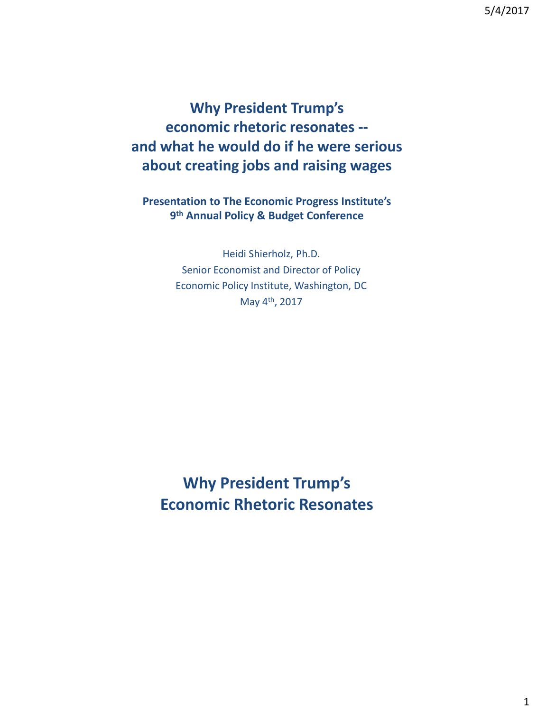**Why President Trump's economic rhetoric resonates - and what he would do if he were serious about creating jobs and raising wages**

**Presentation to The Economic Progress Institute's 9 th Annual Policy & Budget Conference**

> Heidi Shierholz, Ph.D. Senior Economist and Director of Policy Economic Policy Institute, Washington, DC May 4th, 2017

**Why President Trump's Economic Rhetoric Resonates**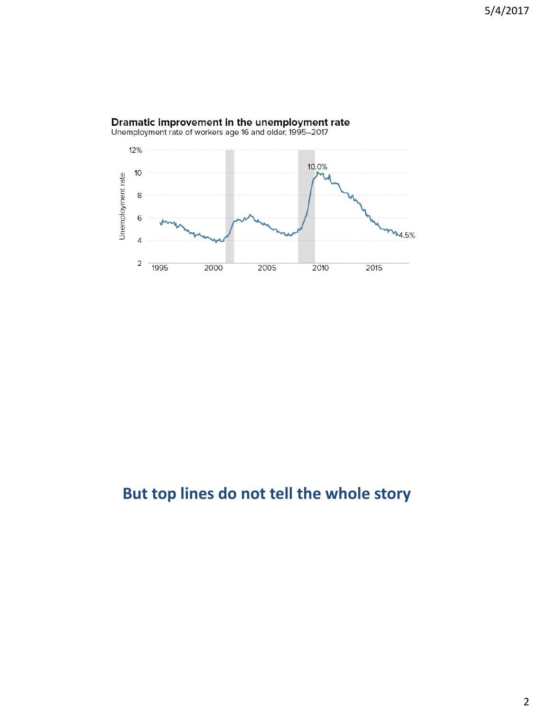

# **Dramatic improvement in the unemployment rate**<br>Unemployment rate of workers age 16 and older, 1995–2017

## **But top lines do not tell the whole story**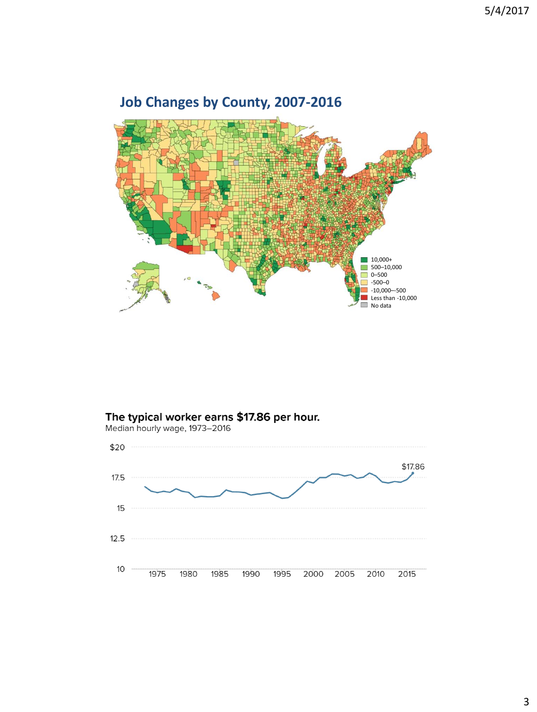

### **Job Changes by County, 2007-2016**

# The typical worker earns \$17.86 per hour.<br>Median hourly wage, 1973-2016

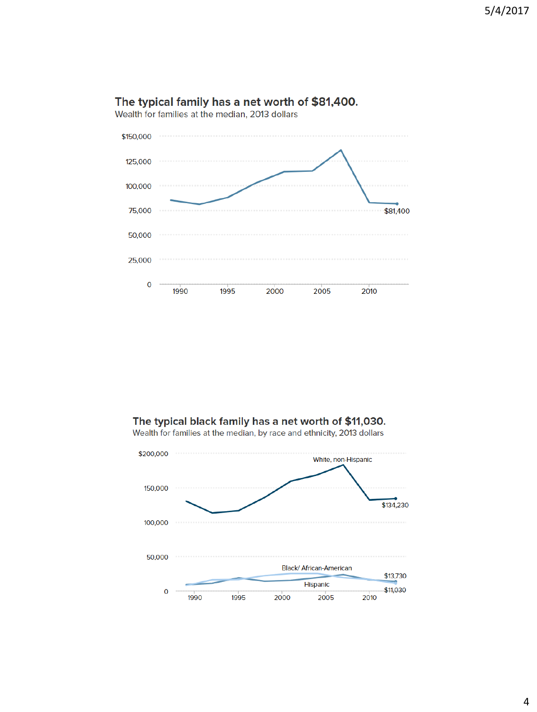

#### The typical family has a net worth of \$81,400.

#### The typical black family has a net worth of \$11,030.

Wealth for families at the median, by race and ethnicity, 2013 dollars

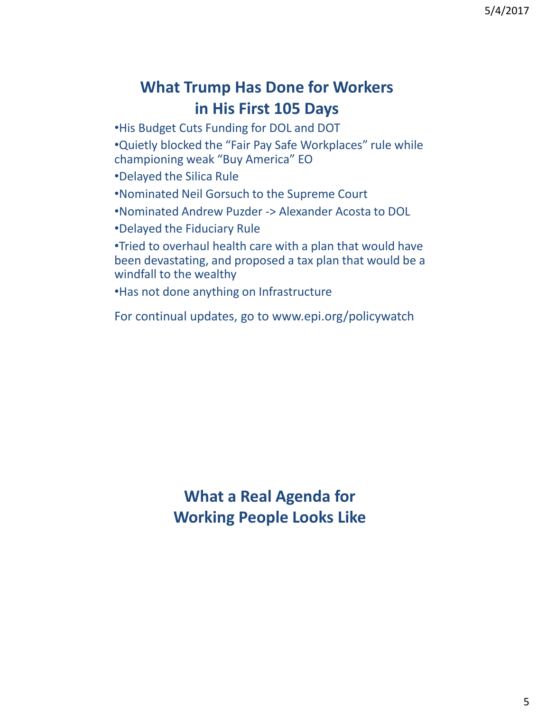## **What Trump Has Done for Workers in His First 105 Days**

•His Budget Cuts Funding for DOL and DOT

•Quietly blocked the "Fair Pay Safe Workplaces" rule while championing weak "Buy America" EO

- •Delayed the Silica Rule
- •Nominated Neil Gorsuch to the Supreme Court
- •Nominated Andrew Puzder -> Alexander Acosta to DOL
- •Delayed the Fiduciary Rule

•Tried to overhaul health care with a plan that would have been devastating, and proposed a tax plan that would be a windfall to the wealthy

•Has not done anything on Infrastructure

For continual updates, go to www.epi.org/policywatch

**What a Real Agenda for Working People Looks Like**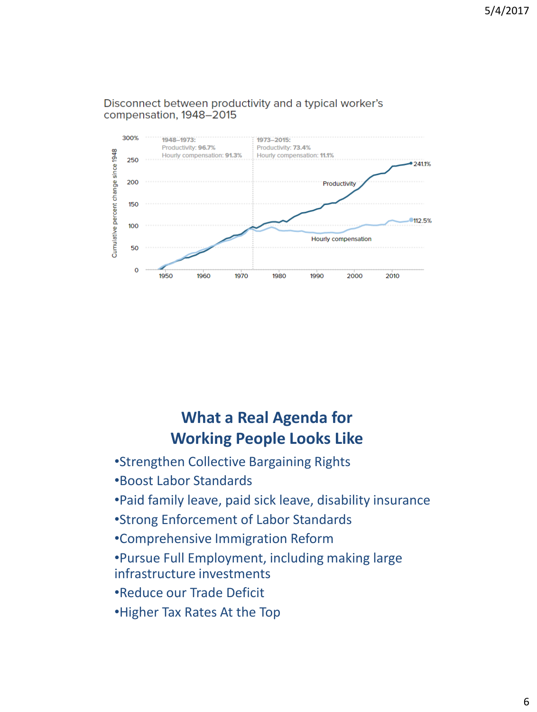

#### Disconnect between productivity and a typical worker's compensation, 1948-2015

## **What a Real Agenda for Working People Looks Like**

- •Strengthen Collective Bargaining Rights
- •Boost Labor Standards
- •Paid family leave, paid sick leave, disability insurance
- •Strong Enforcement of Labor Standards
- •Comprehensive Immigration Reform
- •Pursue Full Employment, including making large infrastructure investments
- •Reduce our Trade Deficit
- •Higher Tax Rates At the Top